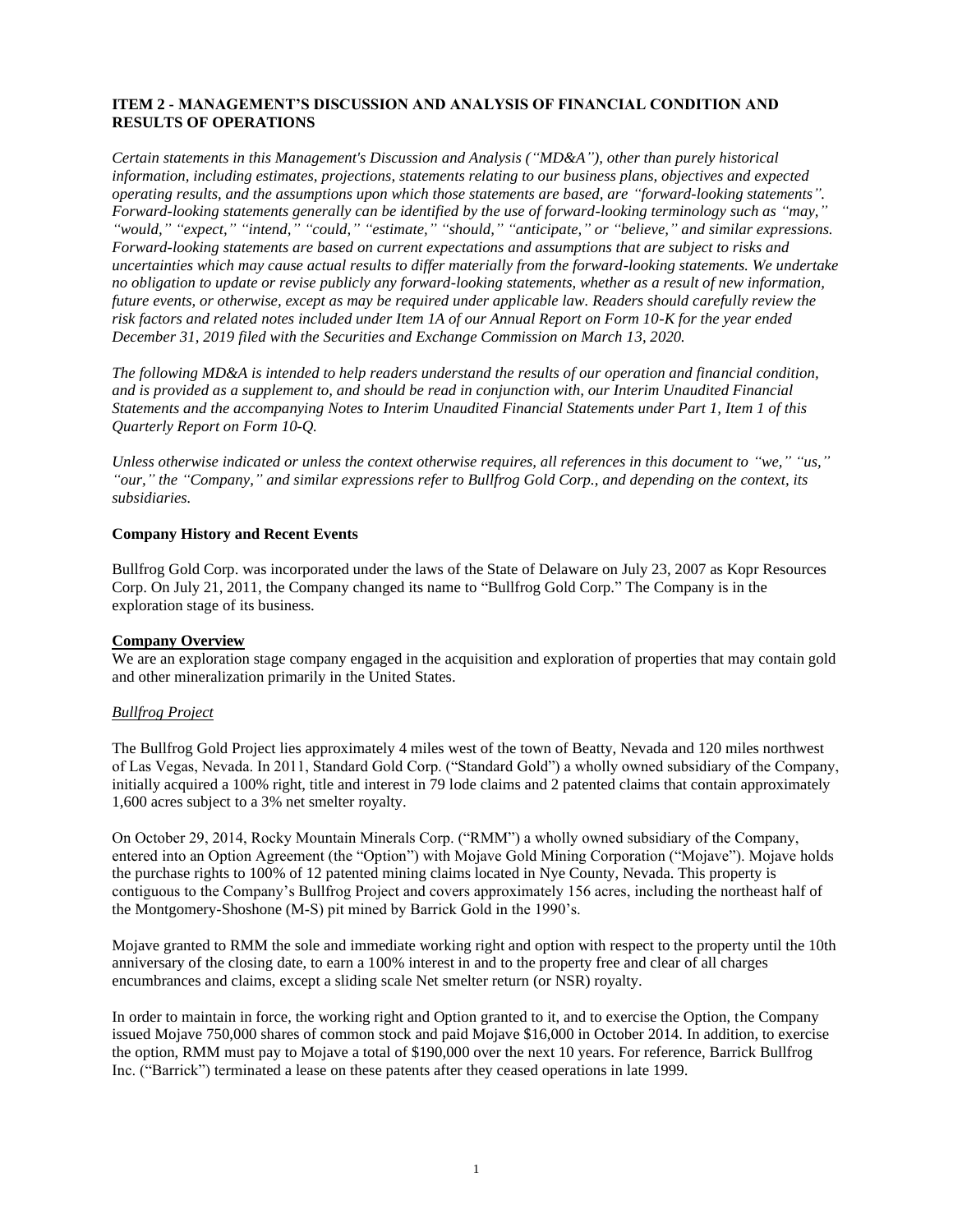## **ITEM 2 - MANAGEMENT'S DISCUSSION AND ANALYSIS OF FINANCIAL CONDITION AND RESULTS OF OPERATIONS**

*Certain statements in this Management's Discussion and Analysis ("MD&A"), other than purely historical information, including estimates, projections, statements relating to our business plans, objectives and expected operating results, and the assumptions upon which those statements are based, are "forward-looking statements". Forward-looking statements generally can be identified by the use of forward-looking terminology such as "may," "would," "expect," "intend," "could," "estimate," "should," "anticipate," or "believe," and similar expressions. Forward-looking statements are based on current expectations and assumptions that are subject to risks and uncertainties which may cause actual results to differ materially from the forward-looking statements. We undertake no obligation to update or revise publicly any forward-looking statements, whether as a result of new information, future events, or otherwise, except as may be required under applicable law. Readers should carefully review the risk factors and related notes included under Item 1A of our Annual Report on Form 10-K for the year ended December 31, 2019 filed with the Securities and Exchange Commission on March 13, 2020.*

*The following MD&A is intended to help readers understand the results of our operation and financial condition, and is provided as a supplement to, and should be read in conjunction with, our Interim Unaudited Financial Statements and the accompanying Notes to Interim Unaudited Financial Statements under Part 1, Item 1 of this Quarterly Report on Form 10-Q.*

*Unless otherwise indicated or unless the context otherwise requires, all references in this document to "we," "us," "our," the "Company," and similar expressions refer to Bullfrog Gold Corp., and depending on the context, its subsidiaries.*

### **Company History and Recent Events**

Bullfrog Gold Corp. was incorporated under the laws of the State of Delaware on July 23, 2007 as Kopr Resources Corp. On July 21, 2011, the Company changed its name to "Bullfrog Gold Corp." The Company is in the exploration stage of its business.

### **Company Overview**

We are an exploration stage company engaged in the acquisition and exploration of properties that may contain gold and other mineralization primarily in the United States.

### *Bullfrog Project*

The Bullfrog Gold Project lies approximately 4 miles west of the town of Beatty, Nevada and 120 miles northwest of Las Vegas, Nevada. In 2011, Standard Gold Corp. ("Standard Gold") a wholly owned subsidiary of the Company, initially acquired a 100% right, title and interest in 79 lode claims and 2 patented claims that contain approximately 1,600 acres subject to a 3% net smelter royalty.

On October 29, 2014, Rocky Mountain Minerals Corp. ("RMM") a wholly owned subsidiary of the Company, entered into an Option Agreement (the "Option") with Mojave Gold Mining Corporation ("Mojave"). Mojave holds the purchase rights to 100% of 12 patented mining claims located in Nye County, Nevada. This property is contiguous to the Company's Bullfrog Project and covers approximately 156 acres, including the northeast half of the Montgomery-Shoshone (M-S) pit mined by Barrick Gold in the 1990's.

Mojave granted to RMM the sole and immediate working right and option with respect to the property until the 10th anniversary of the closing date, to earn a 100% interest in and to the property free and clear of all charges encumbrances and claims, except a sliding scale Net smelter return (or NSR) royalty.

In order to maintain in force, the working right and Option granted to it, and to exercise the Option, the Company issued Mojave 750,000 shares of common stock and paid Mojave \$16,000 in October 2014. In addition, to exercise the option, RMM must pay to Mojave a total of \$190,000 over the next 10 years. For reference, Barrick Bullfrog Inc. ("Barrick") terminated a lease on these patents after they ceased operations in late 1999.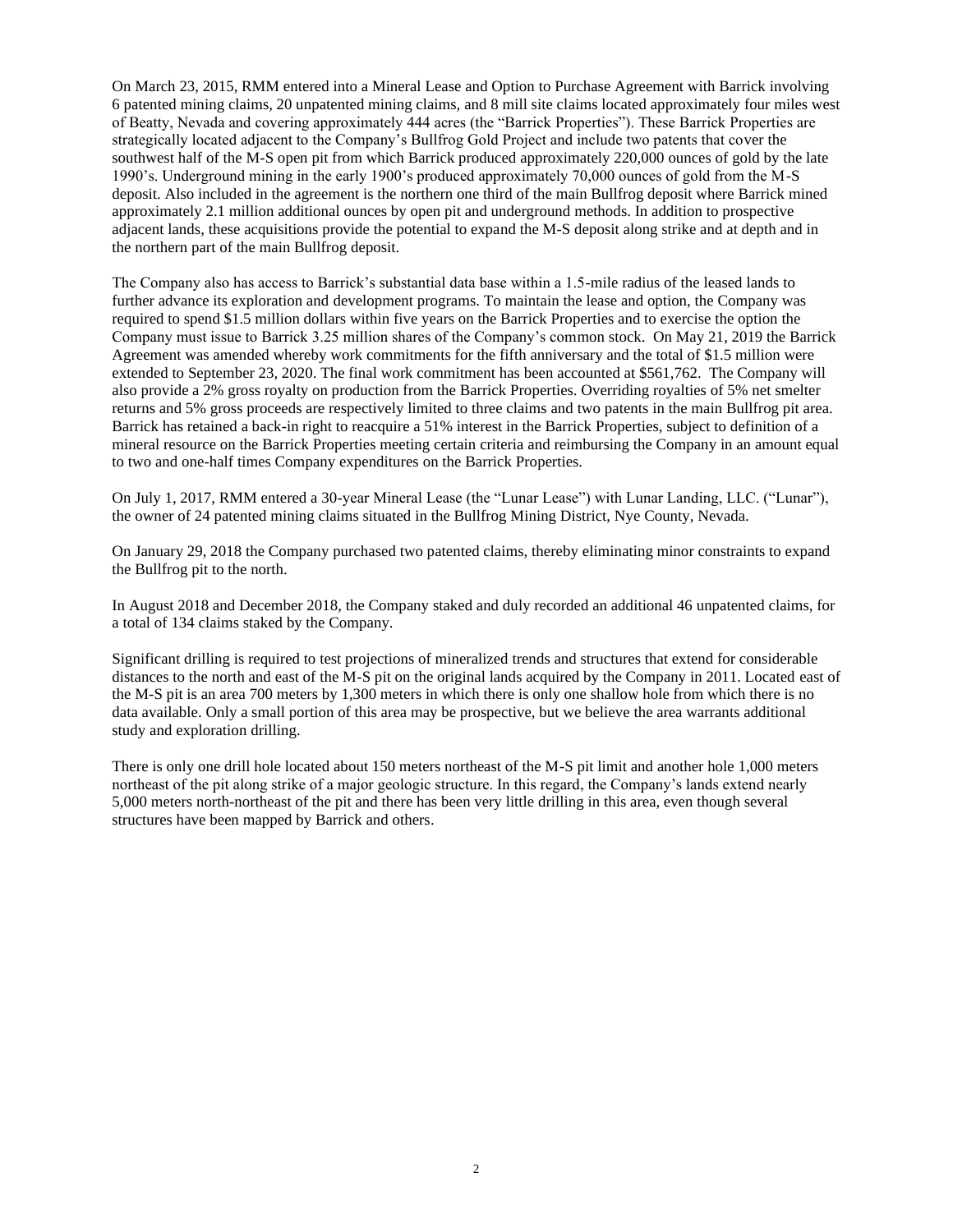On March 23, 2015, RMM entered into a Mineral Lease and Option to Purchase Agreement with Barrick involving 6 patented mining claims, 20 unpatented mining claims, and 8 mill site claims located approximately four miles west of Beatty, Nevada and covering approximately 444 acres (the "Barrick Properties"). These Barrick Properties are strategically located adjacent to the Company's Bullfrog Gold Project and include two patents that cover the southwest half of the M-S open pit from which Barrick produced approximately 220,000 ounces of gold by the late 1990's. Underground mining in the early 1900's produced approximately 70,000 ounces of gold from the M-S deposit. Also included in the agreement is the northern one third of the main Bullfrog deposit where Barrick mined approximately 2.1 million additional ounces by open pit and underground methods. In addition to prospective adjacent lands, these acquisitions provide the potential to expand the M-S deposit along strike and at depth and in the northern part of the main Bullfrog deposit.

The Company also has access to Barrick's substantial data base within a 1.5-mile radius of the leased lands to further advance its exploration and development programs. To maintain the lease and option, the Company was required to spend \$1.5 million dollars within five years on the Barrick Properties and to exercise the option the Company must issue to Barrick 3.25 million shares of the Company's common stock. On May 21, 2019 the Barrick Agreement was amended whereby work commitments for the fifth anniversary and the total of \$1.5 million were extended to September 23, 2020. The final work commitment has been accounted at \$561,762. The Company will also provide a 2% gross royalty on production from the Barrick Properties. Overriding royalties of 5% net smelter returns and 5% gross proceeds are respectively limited to three claims and two patents in the main Bullfrog pit area. Barrick has retained a back-in right to reacquire a 51% interest in the Barrick Properties, subject to definition of a mineral resource on the Barrick Properties meeting certain criteria and reimbursing the Company in an amount equal to two and one-half times Company expenditures on the Barrick Properties.

On July 1, 2017, RMM entered a 30-year Mineral Lease (the "Lunar Lease") with Lunar Landing, LLC. ("Lunar"), the owner of 24 patented mining claims situated in the Bullfrog Mining District, Nye County, Nevada.

On January 29, 2018 the Company purchased two patented claims, thereby eliminating minor constraints to expand the Bullfrog pit to the north.

In August 2018 and December 2018, the Company staked and duly recorded an additional 46 unpatented claims, for a total of 134 claims staked by the Company.

Significant drilling is required to test projections of mineralized trends and structures that extend for considerable distances to the north and east of the M-S pit on the original lands acquired by the Company in 2011. Located east of the M-S pit is an area 700 meters by 1,300 meters in which there is only one shallow hole from which there is no data available. Only a small portion of this area may be prospective, but we believe the area warrants additional study and exploration drilling.

There is only one drill hole located about 150 meters northeast of the M-S pit limit and another hole 1,000 meters northeast of the pit along strike of a major geologic structure. In this regard, the Company's lands extend nearly 5,000 meters north-northeast of the pit and there has been very little drilling in this area, even though several structures have been mapped by Barrick and others.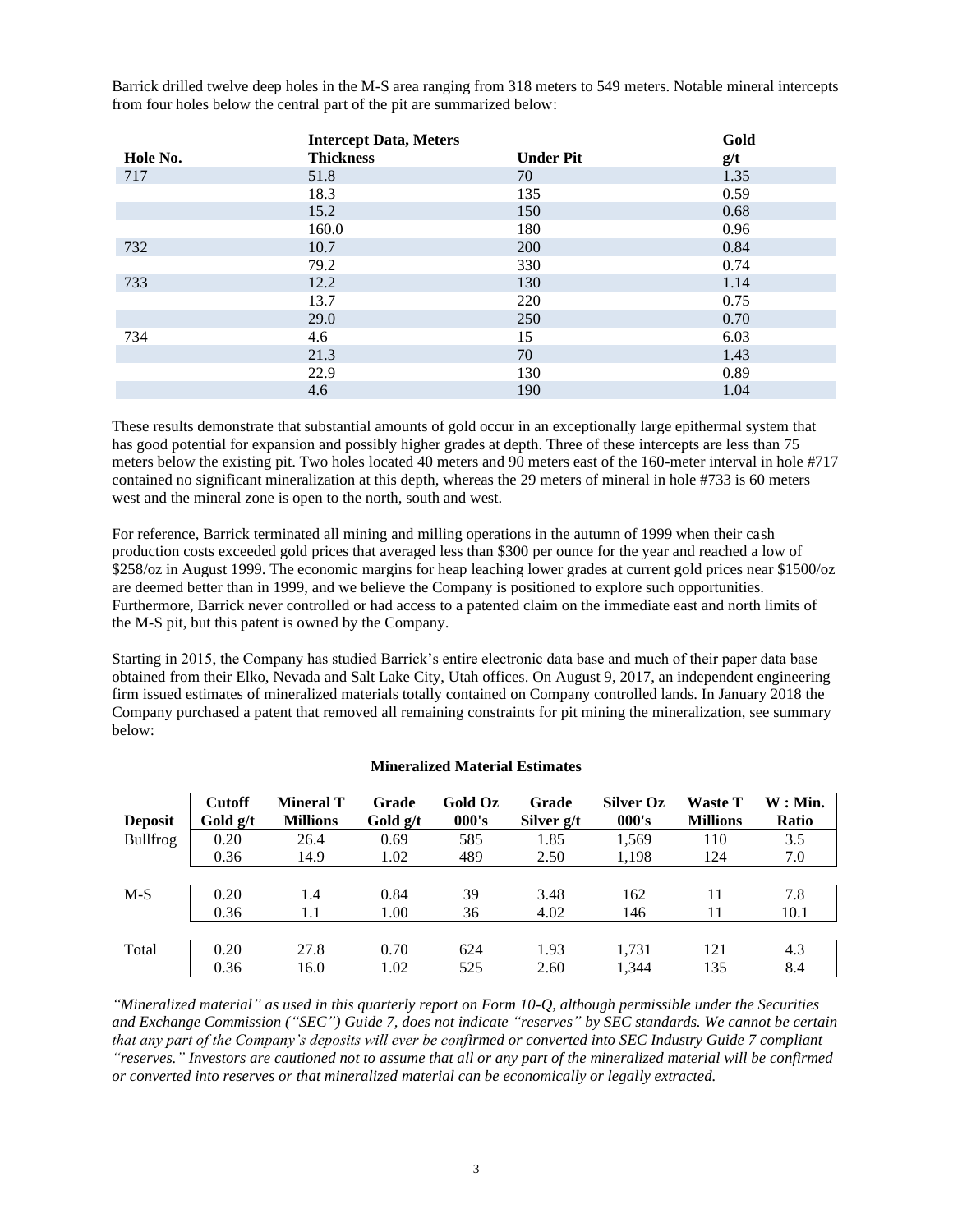Barrick drilled twelve deep holes in the M-S area ranging from 318 meters to 549 meters. Notable mineral intercepts from four holes below the central part of the pit are summarized below:

|          | <b>Intercept Data, Meters</b> |                  | Gold |
|----------|-------------------------------|------------------|------|
| Hole No. | <b>Thickness</b>              | <b>Under Pit</b> | g/t  |
| 717      | 51.8                          | 70               | 1.35 |
|          | 18.3                          | 135              | 0.59 |
|          | 15.2                          | 150              | 0.68 |
|          | 160.0                         | 180              | 0.96 |
| 732      | 10.7                          | 200              | 0.84 |
|          | 79.2                          | 330              | 0.74 |
| 733      | 12.2                          | 130              | 1.14 |
|          | 13.7                          | 220              | 0.75 |
|          | 29.0                          | 250              | 0.70 |
| 734      | 4.6                           | 15               | 6.03 |
|          | 21.3                          | 70               | 1.43 |
|          | 22.9                          | 130              | 0.89 |
|          | 4.6                           | 190              | 1.04 |

These results demonstrate that substantial amounts of gold occur in an exceptionally large epithermal system that has good potential for expansion and possibly higher grades at depth. Three of these intercepts are less than 75 meters below the existing pit. Two holes located 40 meters and 90 meters east of the 160-meter interval in hole #717 contained no significant mineralization at this depth, whereas the 29 meters of mineral in hole #733 is 60 meters west and the mineral zone is open to the north, south and west.

For reference, Barrick terminated all mining and milling operations in the autumn of 1999 when their cash production costs exceeded gold prices that averaged less than \$300 per ounce for the year and reached a low of \$258/oz in August 1999. The economic margins for heap leaching lower grades at current gold prices near \$1500/oz are deemed better than in 1999, and we believe the Company is positioned to explore such opportunities. Furthermore, Barrick never controlled or had access to a patented claim on the immediate east and north limits of the M-S pit, but this patent is owned by the Company.

Starting in 2015, the Company has studied Barrick's entire electronic data base and much of their paper data base obtained from their Elko, Nevada and Salt Lake City, Utah offices. On August 9, 2017, an independent engineering firm issued estimates of mineralized materials totally contained on Company controlled lands. In January 2018 the Company purchased a patent that removed all remaining constraints for pit mining the mineralization, see summary below:

| <b>Deposit</b>  | <b>Cutoff</b><br>Gold g/t | <b>Mineral T</b><br><b>Millions</b> | Grade<br>Gold $g/t$ | Gold Oz<br>000's | Grade<br>Silver g/t | <b>Silver Oz</b><br>000's | <b>Waste T</b><br><b>Millions</b> | $W:$ Min.<br>Ratio |
|-----------------|---------------------------|-------------------------------------|---------------------|------------------|---------------------|---------------------------|-----------------------------------|--------------------|
| <b>Bullfrog</b> | 0.20                      | 26.4                                | 0.69                | 585              | 1.85                | 1.569                     | 110                               | 3.5                |
|                 | 0.36                      | 14.9                                | 1.02                | 489              | 2.50                | 1,198                     | 124                               | 7.0                |
|                 |                           |                                     |                     |                  |                     |                           |                                   |                    |
| $M-S$           | 0.20                      | 1.4                                 | 0.84                | 39               | 3.48                | 162                       | 11                                | 7.8                |
|                 | 0.36                      | 1.1                                 | 1.00                | 36               | 4.02                | 146                       | 11                                | 10.1               |
|                 |                           |                                     |                     |                  |                     |                           |                                   |                    |
| Total           | 0.20                      | 27.8                                | 0.70                | 624              | 1.93                | 1.731                     | 121                               | 4.3                |
|                 | 0.36                      | 16.0                                | 1.02                | 525              | 2.60                | 1.344                     | 135                               | 8.4                |

# **Mineralized Material Estimates**

*"Mineralized material" as used in this quarterly report on Form 10-Q, although permissible under the Securities and Exchange Commission ("SEC") Guide 7, does not indicate "reserves" by SEC standards. We cannot be certain that any part of the Company's deposits will ever be confirmed or converted into SEC Industry Guide 7 compliant "reserves." Investors are cautioned not to assume that all or any part of the mineralized material will be confirmed or converted into reserves or that mineralized material can be economically or legally extracted.*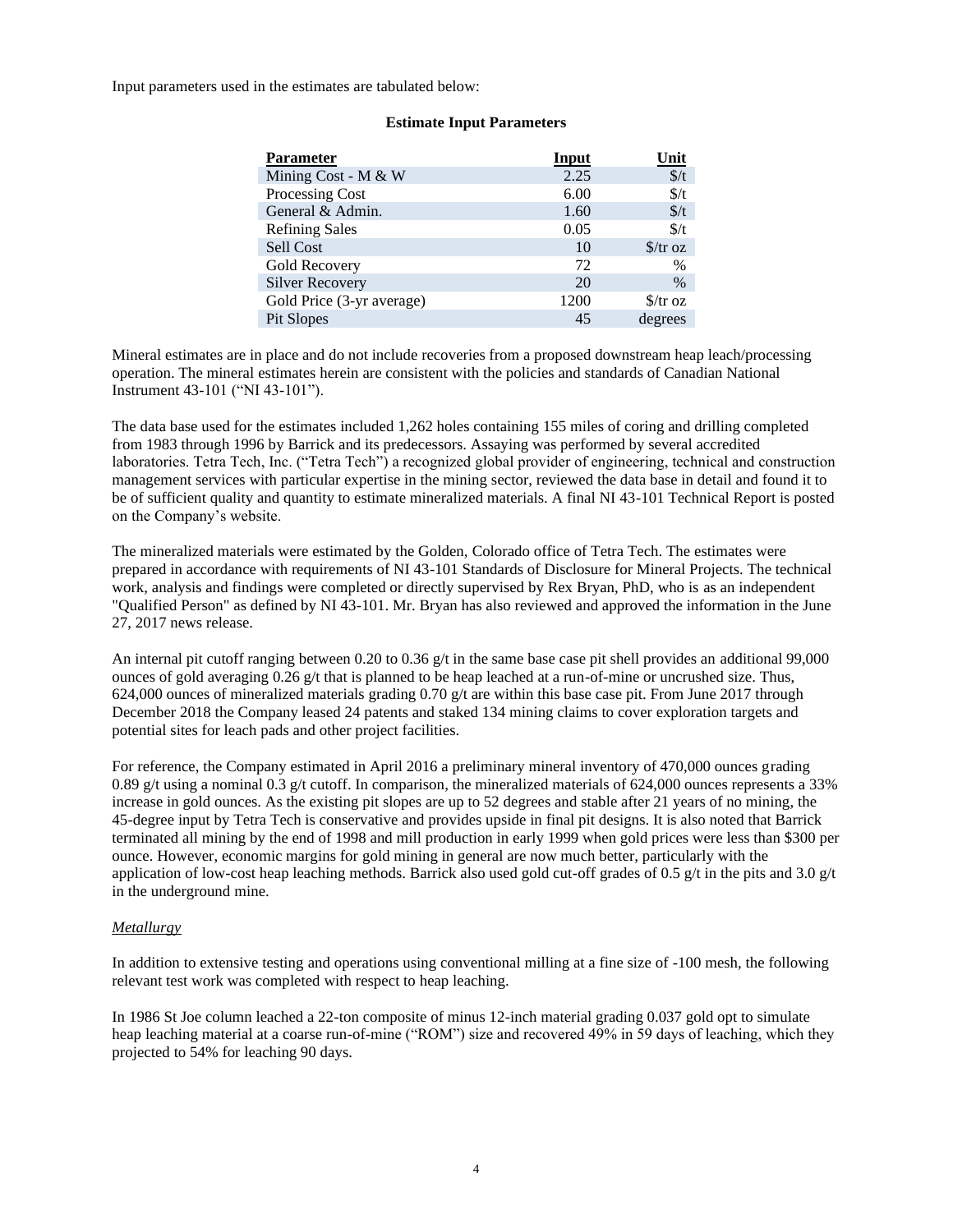Input parameters used in the estimates are tabulated below:

| <b>Parameter</b>          | <b>Input</b> | <u>Unit</u>                     |
|---------------------------|--------------|---------------------------------|
| Mining Cost - M & W       | 2.25         | $\frac{\epsilon}{t}$            |
| Processing Cost           | 6.00         | $\frac{f}{f}$                   |
| General & Admin.          | 1.60         | $\frac{f}{f}$                   |
| <b>Refining Sales</b>     | 0.05         | $\frac{f}{f}$                   |
| Sell Cost                 | 10           | $\frac{\int \sqrt{x}}{x}$       |
| Gold Recovery             | 72           | $\%$                            |
| <b>Silver Recovery</b>    | 20           | $\%$                            |
| Gold Price (3-yr average) | 1200         | $\frac{\text{S}}{\text{Tr}}$ oz |
| Pit Slopes                | 45           | degrees                         |

## **Estimate Input Parameters**

Mineral estimates are in place and do not include recoveries from a proposed downstream heap leach/processing operation. The mineral estimates herein are consistent with the policies and standards of Canadian National Instrument 43-101 ("NI 43-101").

The data base used for the estimates included 1,262 holes containing 155 miles of coring and drilling completed from 1983 through 1996 by Barrick and its predecessors. Assaying was performed by several accredited laboratories. Tetra Tech, Inc. ("Tetra Tech") a recognized global provider of engineering, technical and construction management services with particular expertise in the mining sector, reviewed the data base in detail and found it to be of sufficient quality and quantity to estimate mineralized materials. A final NI 43-101 Technical Report is posted on the Company's website.

The mineralized materials were estimated by the Golden, Colorado office of Tetra Tech. The estimates were prepared in accordance with requirements of NI 43-101 Standards of Disclosure for Mineral Projects. The technical work, analysis and findings were completed or directly supervised by Rex Bryan, PhD, who is as an independent "Qualified Person" as defined by NI 43-101. Mr. Bryan has also reviewed and approved the information in the June 27, 2017 news release.

An internal pit cutoff ranging between 0.20 to 0.36 g/t in the same base case pit shell provides an additional 99,000 ounces of gold averaging 0.26 g/t that is planned to be heap leached at a run-of-mine or uncrushed size. Thus, 624,000 ounces of mineralized materials grading 0.70 g/t are within this base case pit. From June 2017 through December 2018 the Company leased 24 patents and staked 134 mining claims to cover exploration targets and potential sites for leach pads and other project facilities.

For reference, the Company estimated in April 2016 a preliminary mineral inventory of 470,000 ounces grading 0.89 g/t using a nominal 0.3 g/t cutoff. In comparison, the mineralized materials of 624,000 ounces represents a 33% increase in gold ounces. As the existing pit slopes are up to 52 degrees and stable after 21 years of no mining, the 45-degree input by Tetra Tech is conservative and provides upside in final pit designs. It is also noted that Barrick terminated all mining by the end of 1998 and mill production in early 1999 when gold prices were less than \$300 per ounce. However, economic margins for gold mining in general are now much better, particularly with the application of low-cost heap leaching methods. Barrick also used gold cut-off grades of 0.5 g/t in the pits and 3.0 g/t in the underground mine.

# *Metallurgy*

In addition to extensive testing and operations using conventional milling at a fine size of -100 mesh, the following relevant test work was completed with respect to heap leaching.

In 1986 St Joe column leached a 22-ton composite of minus 12-inch material grading 0.037 gold opt to simulate heap leaching material at a coarse run-of-mine ("ROM") size and recovered 49% in 59 days of leaching, which they projected to 54% for leaching 90 days.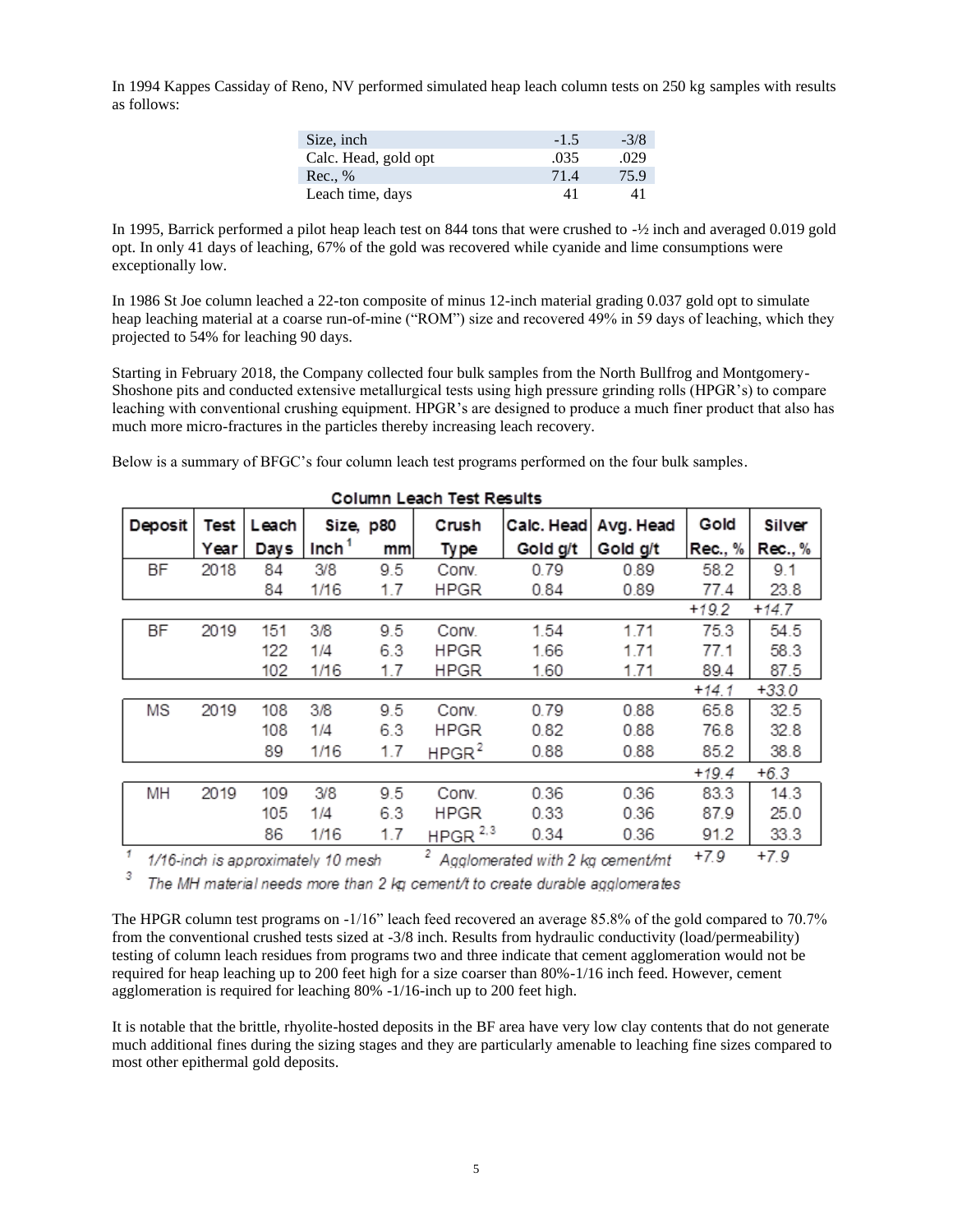In 1994 Kappes Cassiday of Reno, NV performed simulated heap leach column tests on 250 kg samples with results as follows:

| Size, inch           | $-1.5$ | $-3/8$ |
|----------------------|--------|--------|
| Calc. Head, gold opt | .035   | .029   |
| Rec., %              | 71.4   | 75.9   |
| Leach time, days     | 41     | 41     |

In 1995, Barrick performed a pilot heap leach test on 844 tons that were crushed to -½ inch and averaged 0.019 gold opt. In only 41 days of leaching, 67% of the gold was recovered while cyanide and lime consumptions were exceptionally low.

In 1986 St Joe column leached a 22-ton composite of minus 12-inch material grading 0.037 gold opt to simulate heap leaching material at a coarse run-of-mine ("ROM") size and recovered 49% in 59 days of leaching, which they projected to 54% for leaching 90 days.

Starting in February 2018, the Company collected four bulk samples from the North Bullfrog and Montgomery-Shoshone pits and conducted extensive metallurgical tests using high pressure grinding rolls (HPGR's) to compare leaching with conventional crushing equipment. HPGR's are designed to produce a much finer product that also has much more micro-fractures in the particles thereby increasing leach recovery.

Below is a summary of BFGC's four column leach test programs performed on the four bulk samples.

| ooluilii Leach Test Results |      |       |                                   |     |                   |                                               |           |         |         |
|-----------------------------|------|-------|-----------------------------------|-----|-------------------|-----------------------------------------------|-----------|---------|---------|
| <b>Deposit</b>              | Test | Leach | Size, p80                         |     | Crush             | Calc. Head                                    | Avg. Head | Gold    | Silver  |
|                             | Year | Days  | Inch <sup>1</sup>                 | mm  | Ty pe             | Gold g/t                                      | Gold g/t  | Rec., % | Rec., % |
| <b>BF</b>                   | 2018 | 84    | 3/8                               | 9.5 | Conv.             | 0.79                                          | 0.89      | 58.2    | 9.1     |
|                             |      | 84    | 1/16                              | 1.7 | <b>HPGR</b>       | 0.84                                          | 0.89      | 77.4    | 23.8    |
|                             |      |       |                                   |     |                   |                                               |           | $+19.2$ | $+14.7$ |
| BF                          | 2019 | 151   | 3/8                               | 9.5 | Conv.             | 1.54                                          | 1.71      | 75.3    | 54.5    |
|                             |      | 122   | 1/4                               | 6.3 | HPGR              | 1.66                                          | 1.71      | 77.1    | 58.3    |
|                             |      | 102   | 1/16                              | 1.7 | <b>HPGR</b>       | 1.60                                          | 1.71      | 89.4    | 87.5    |
|                             |      |       |                                   |     |                   |                                               |           | $+14.1$ | $+33.0$ |
| MS                          | 2019 | 108   | 3/8                               | 9.5 | Conv.             | 0.79                                          | 0.88      | 65.8    | 32.5    |
|                             |      | 108   | 1/4                               | 6.3 | <b>HPGR</b>       | 0.82                                          | 0.88      | 76.8    | 32.8    |
|                             |      | 89    | 1/16                              | 1.7 | HPGR <sup>2</sup> | 0.88                                          | 0.88      | 85.2    | 38.8    |
|                             |      |       |                                   |     |                   |                                               |           | $+19.4$ | $+6.3$  |
| MН                          | 2019 | 109   | 3/8                               | 9.5 | Conv.             | 0.36                                          | 0.36      | 83.3    | 14.3    |
|                             |      | 105   | 1/4                               | 6.3 | <b>HPGR</b>       | 0.33                                          | 0.36      | 87.9    | 25.0    |
|                             |      | 86    | 1/16                              | 1.7 | HPGR $2,3$        | 0.34                                          | 0.36      | 91.2    | 33.3    |
| $\overline{1}$              |      |       | 1/16-inch is annovimately 10 mesh |     |                   | <sup>2</sup> Analomerated with 2 kg cement/mt |           | $+7.9$  | $+7.9$  |

# Column Leach Test Results

1/16-inch is approximately 10 mesh  $\frac{2}{1}$  Agglomerated with 2 kg cement/mt  $\frac{+7.9}{-7.9}$ 3

The MH material needs more than 2 kg cement/t to create durable agglomerates

The HPGR column test programs on -1/16" leach feed recovered an average 85.8% of the gold compared to 70.7% from the conventional crushed tests sized at -3/8 inch. Results from hydraulic conductivity (load/permeability) testing of column leach residues from programs two and three indicate that cement agglomeration would not be required for heap leaching up to 200 feet high for a size coarser than 80%-1/16 inch feed. However, cement agglomeration is required for leaching 80% -1/16-inch up to 200 feet high.

It is notable that the brittle, rhyolite-hosted deposits in the BF area have very low clay contents that do not generate much additional fines during the sizing stages and they are particularly amenable to leaching fine sizes compared to most other epithermal gold deposits.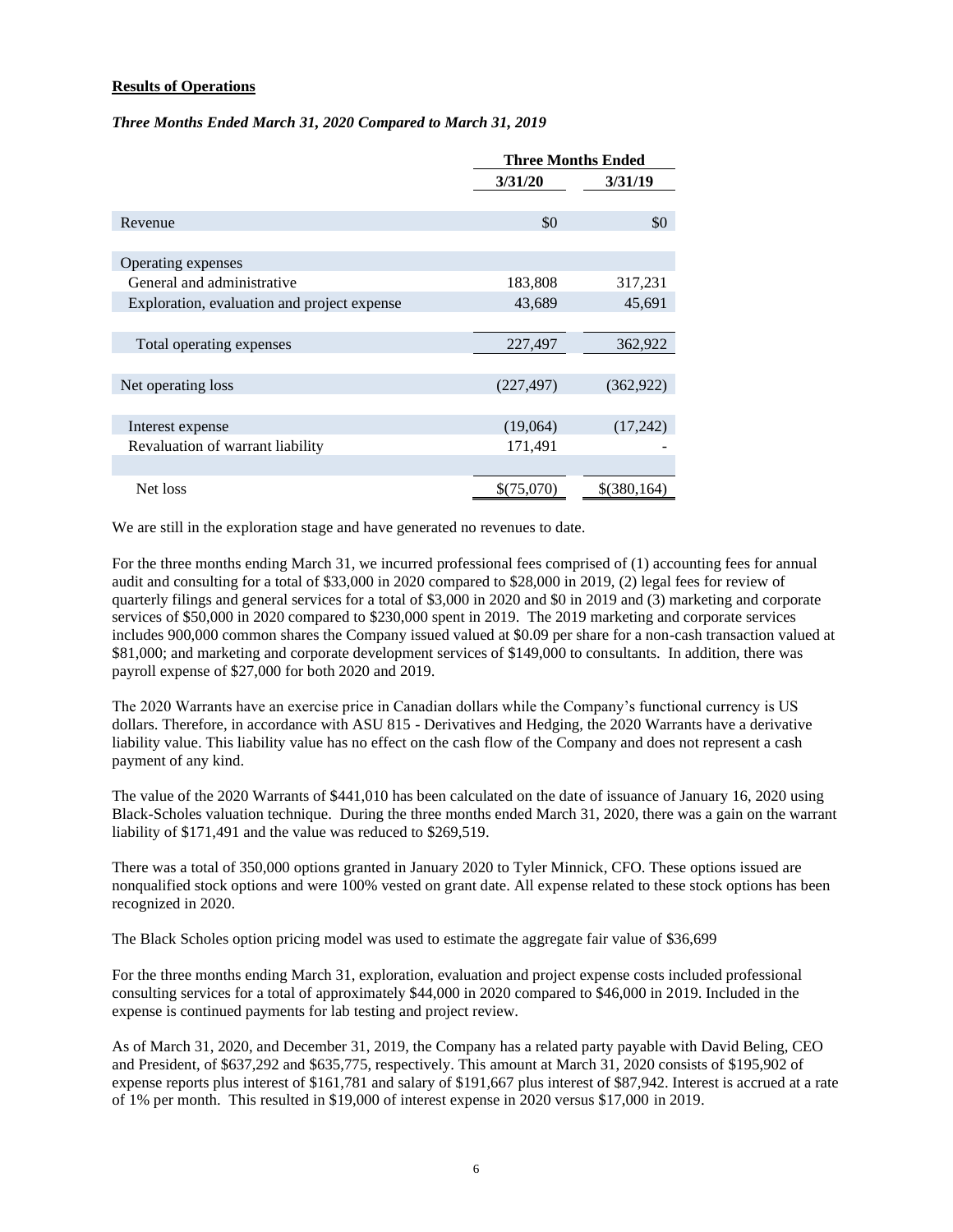# **Results of Operations**

### *Three Months Ended March 31, 2020 Compared to March 31, 2019*

|                                             |                  | <b>Three Months Ended</b> |  |  |
|---------------------------------------------|------------------|---------------------------|--|--|
|                                             | 3/31/20          | 3/31/19                   |  |  |
|                                             |                  |                           |  |  |
| Revenue                                     | \$0              | \$0                       |  |  |
|                                             |                  |                           |  |  |
| Operating expenses                          |                  |                           |  |  |
| General and administrative                  | 183,808          | 317,231                   |  |  |
| Exploration, evaluation and project expense | 43,689<br>45,691 |                           |  |  |
|                                             |                  |                           |  |  |
| Total operating expenses                    | 227,497          | 362,922                   |  |  |
|                                             |                  |                           |  |  |
| Net operating loss                          | (227, 497)       | (362, 922)                |  |  |
|                                             |                  |                           |  |  |
| Interest expense                            | (19,064)         | (17,242)                  |  |  |
| Revaluation of warrant liability            | 171,491          |                           |  |  |
|                                             |                  |                           |  |  |
| Net loss                                    | \$(75,070)       | \$(380,164)               |  |  |

We are still in the exploration stage and have generated no revenues to date.

For the three months ending March 31, we incurred professional fees comprised of (1) accounting fees for annual audit and consulting for a total of \$33,000 in 2020 compared to \$28,000 in 2019, (2) legal fees for review of quarterly filings and general services for a total of \$3,000 in 2020 and \$0 in 2019 and (3) marketing and corporate services of \$50,000 in 2020 compared to \$230,000 spent in 2019. The 2019 marketing and corporate services includes 900,000 common shares the Company issued valued at \$0.09 per share for a non-cash transaction valued at \$81,000; and marketing and corporate development services of \$149,000 to consultants. In addition, there was payroll expense of \$27,000 for both 2020 and 2019.

The 2020 Warrants have an exercise price in Canadian dollars while the Company's functional currency is US dollars. Therefore, in accordance with ASU 815 - Derivatives and Hedging, the 2020 Warrants have a derivative liability value. This liability value has no effect on the cash flow of the Company and does not represent a cash payment of any kind.

The value of the 2020 Warrants of \$441,010 has been calculated on the date of issuance of January 16, 2020 using Black-Scholes valuation technique. During the three months ended March 31, 2020, there was a gain on the warrant liability of \$171,491 and the value was reduced to \$269,519.

There was a total of 350,000 options granted in January 2020 to Tyler Minnick, CFO. These options issued are nonqualified stock options and were 100% vested on grant date. All expense related to these stock options has been recognized in 2020.

The Black Scholes option pricing model was used to estimate the aggregate fair value of \$36,699

For the three months ending March 31, exploration, evaluation and project expense costs included professional consulting services for a total of approximately \$44,000 in 2020 compared to \$46,000 in 2019. Included in the expense is continued payments for lab testing and project review.

As of March 31, 2020, and December 31, 2019, the Company has a related party payable with David Beling, CEO and President, of \$637,292 and \$635,775, respectively. This amount at March 31, 2020 consists of \$195,902 of expense reports plus interest of \$161,781 and salary of \$191,667 plus interest of \$87,942. Interest is accrued at a rate of 1% per month. This resulted in \$19,000 of interest expense in 2020 versus \$17,000 in 2019.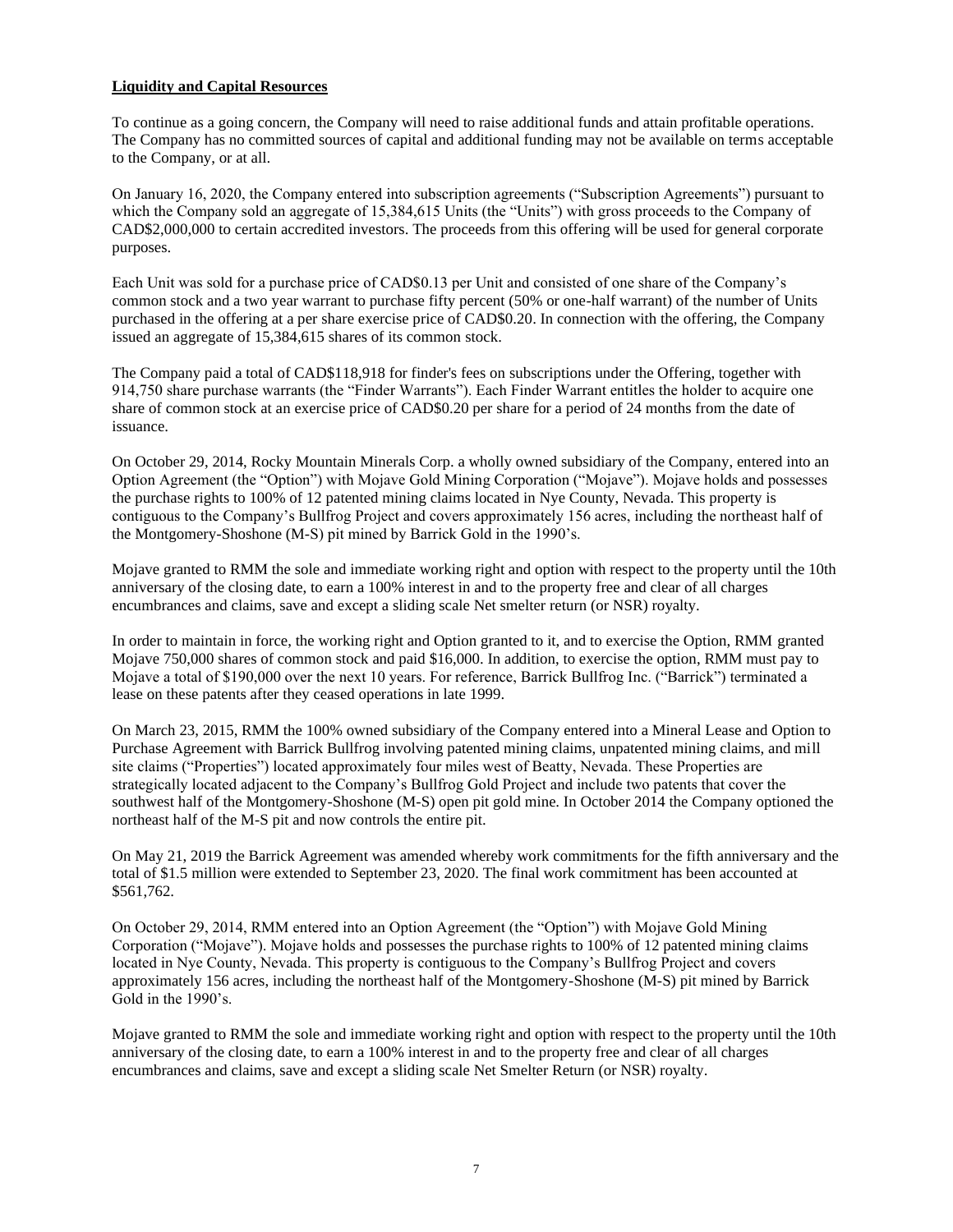# **Liquidity and Capital Resources**

To continue as a going concern, the Company will need to raise additional funds and attain profitable operations. The Company has no committed sources of capital and additional funding may not be available on terms acceptable to the Company, or at all.

On January 16, 2020, the Company entered into subscription agreements ("Subscription Agreements") pursuant to which the Company sold an aggregate of 15,384,615 Units (the "Units") with gross proceeds to the Company of CAD\$2,000,000 to certain accredited investors. The proceeds from this offering will be used for general corporate purposes.

Each Unit was sold for a purchase price of CAD\$0.13 per Unit and consisted of one share of the Company's common stock and a two year warrant to purchase fifty percent (50% or one-half warrant) of the number of Units purchased in the offering at a per share exercise price of CAD\$0.20. In connection with the offering, the Company issued an aggregate of 15,384,615 shares of its common stock.

The Company paid a total of CAD\$118,918 for finder's fees on subscriptions under the Offering, together with 914,750 share purchase warrants (the "Finder Warrants"). Each Finder Warrant entitles the holder to acquire one share of common stock at an exercise price of CAD\$0.20 per share for a period of 24 months from the date of issuance.

On October 29, 2014, Rocky Mountain Minerals Corp. a wholly owned subsidiary of the Company, entered into an Option Agreement (the "Option") with Mojave Gold Mining Corporation ("Mojave"). Mojave holds and possesses the purchase rights to 100% of 12 patented mining claims located in Nye County, Nevada. This property is contiguous to the Company's Bullfrog Project and covers approximately 156 acres, including the northeast half of the Montgomery-Shoshone (M-S) pit mined by Barrick Gold in the 1990's.

Mojave granted to RMM the sole and immediate working right and option with respect to the property until the 10th anniversary of the closing date, to earn a 100% interest in and to the property free and clear of all charges encumbrances and claims, save and except a sliding scale Net smelter return (or NSR) royalty.

In order to maintain in force, the working right and Option granted to it, and to exercise the Option, RMM granted Mojave 750,000 shares of common stock and paid \$16,000. In addition, to exercise the option, RMM must pay to Mojave a total of \$190,000 over the next 10 years. For reference, Barrick Bullfrog Inc. ("Barrick") terminated a lease on these patents after they ceased operations in late 1999.

On March 23, 2015, RMM the 100% owned subsidiary of the Company entered into a Mineral Lease and Option to Purchase Agreement with Barrick Bullfrog involving patented mining claims, unpatented mining claims, and mill site claims ("Properties") located approximately four miles west of Beatty, Nevada. These Properties are strategically located adjacent to the Company's Bullfrog Gold Project and include two patents that cover the southwest half of the Montgomery-Shoshone (M-S) open pit gold mine. In October 2014 the Company optioned the northeast half of the M-S pit and now controls the entire pit.

On May 21, 2019 the Barrick Agreement was amended whereby work commitments for the fifth anniversary and the total of \$1.5 million were extended to September 23, 2020. The final work commitment has been accounted at \$561,762.

On October 29, 2014, RMM entered into an Option Agreement (the "Option") with Mojave Gold Mining Corporation ("Mojave"). Mojave holds and possesses the purchase rights to 100% of 12 patented mining claims located in Nye County, Nevada. This property is contiguous to the Company's Bullfrog Project and covers approximately 156 acres, including the northeast half of the Montgomery-Shoshone (M-S) pit mined by Barrick Gold in the 1990's.

Mojave granted to RMM the sole and immediate working right and option with respect to the property until the 10th anniversary of the closing date, to earn a 100% interest in and to the property free and clear of all charges encumbrances and claims, save and except a sliding scale Net Smelter Return (or NSR) royalty.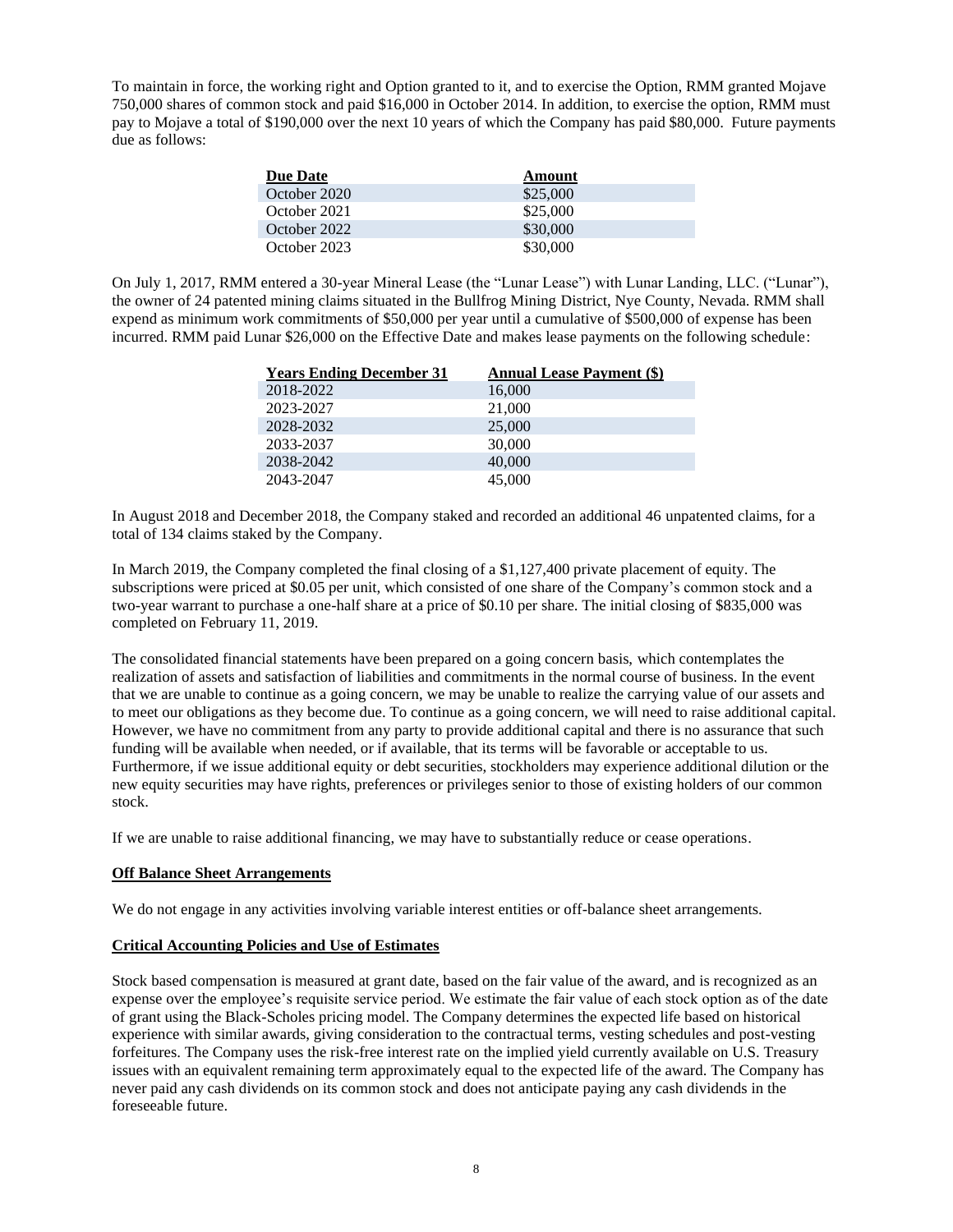To maintain in force, the working right and Option granted to it, and to exercise the Option, RMM granted Mojave 750,000 shares of common stock and paid \$16,000 in October 2014. In addition, to exercise the option, RMM must pay to Mojave a total of \$190,000 over the next 10 years of which the Company has paid \$80,000. Future payments due as follows:

| <b>Due Date</b> | Amount   |
|-----------------|----------|
| October 2020    | \$25,000 |
| October 2021    | \$25,000 |
| October 2022    | \$30,000 |
| October 2023    | \$30,000 |

On July 1, 2017, RMM entered a 30-year Mineral Lease (the "Lunar Lease") with Lunar Landing, LLC. ("Lunar"), the owner of 24 patented mining claims situated in the Bullfrog Mining District, Nye County, Nevada. RMM shall expend as minimum work commitments of \$50,000 per year until a cumulative of \$500,000 of expense has been incurred. RMM paid Lunar \$26,000 on the Effective Date and makes lease payments on the following schedule:

| <b>Years Ending December 31</b> | <b>Annual Lease Payment (\$)</b> |
|---------------------------------|----------------------------------|
| 2018-2022                       | 16,000                           |
| 2023-2027                       | 21,000                           |
| 2028-2032                       | 25,000                           |
| 2033-2037                       | 30,000                           |
| 2038-2042                       | 40,000                           |
| 2043-2047                       | 45,000                           |

In August 2018 and December 2018, the Company staked and recorded an additional 46 unpatented claims, for a total of 134 claims staked by the Company.

In March 2019, the Company completed the final closing of a \$1,127,400 private placement of equity. The subscriptions were priced at \$0.05 per unit, which consisted of one share of the Company's common stock and a two-year warrant to purchase a one-half share at a price of \$0.10 per share. The initial closing of \$835,000 was completed on February 11, 2019.

The consolidated financial statements have been prepared on a going concern basis, which contemplates the realization of assets and satisfaction of liabilities and commitments in the normal course of business. In the event that we are unable to continue as a going concern, we may be unable to realize the carrying value of our assets and to meet our obligations as they become due. To continue as a going concern, we will need to raise additional capital. However, we have no commitment from any party to provide additional capital and there is no assurance that such funding will be available when needed, or if available, that its terms will be favorable or acceptable to us. Furthermore, if we issue additional equity or debt securities, stockholders may experience additional dilution or the new equity securities may have rights, preferences or privileges senior to those of existing holders of our common stock.

If we are unable to raise additional financing, we may have to substantially reduce or cease operations.

# **Off Balance Sheet Arrangements**

We do not engage in any activities involving variable interest entities or off-balance sheet arrangements.

# **Critical Accounting Policies and Use of Estimates**

Stock based compensation is measured at grant date, based on the fair value of the award, and is recognized as an expense over the employee's requisite service period. We estimate the fair value of each stock option as of the date of grant using the Black-Scholes pricing model. The Company determines the expected life based on historical experience with similar awards, giving consideration to the contractual terms, vesting schedules and post-vesting forfeitures. The Company uses the risk-free interest rate on the implied yield currently available on U.S. Treasury issues with an equivalent remaining term approximately equal to the expected life of the award. The Company has never paid any cash dividends on its common stock and does not anticipate paying any cash dividends in the foreseeable future.